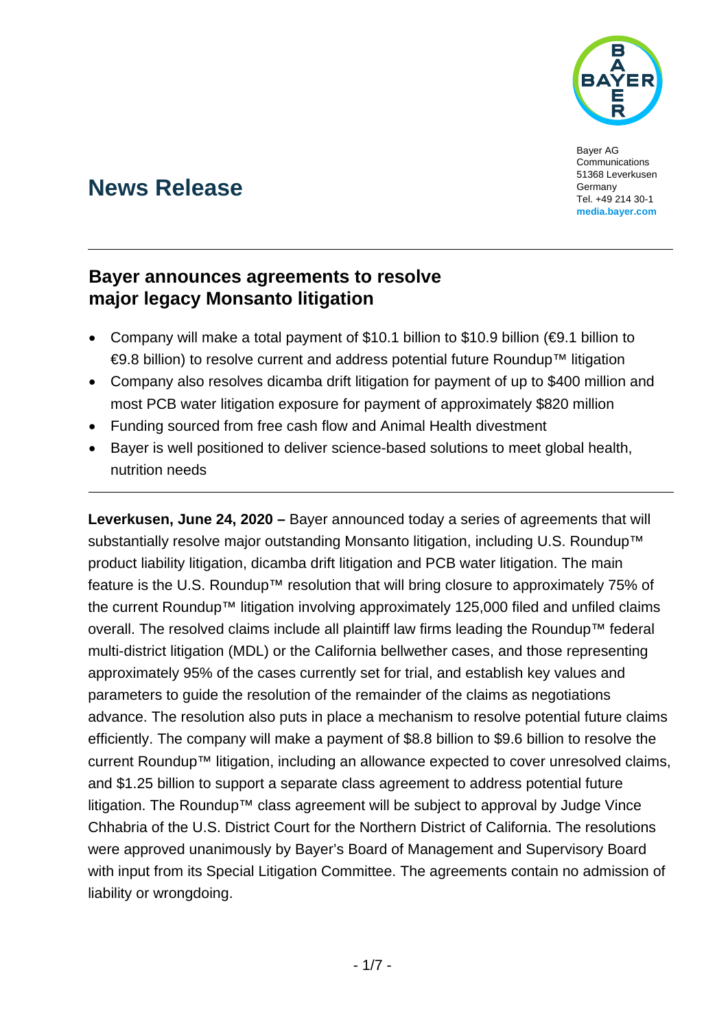

Bayer AG **Communications** 51368 Leverkusen Germany Tel. +49 214 30-1 **[media.bayer.com](http://media.bayer.de/)**

# **News Release**

## **Bayer announces agreements to resolve major legacy Monsanto litigation**

- Company will make a total payment of \$10.1 billion to \$10.9 billion (€9.1 billion to €9.8 billion) to resolve current and address potential future Roundup™ litigation
- Company also resolves dicamba drift litigation for payment of up to \$400 million and most PCB water litigation exposure for payment of approximately \$820 million
- Funding sourced from free cash flow and Animal Health divestment
- Bayer is well positioned to deliver science-based solutions to meet global health, nutrition needs

**Leverkusen, June 24, 2020 –** Bayer announced today a series of agreements that will substantially resolve major outstanding Monsanto litigation, including U.S. Roundup™ product liability litigation, dicamba drift litigation and PCB water litigation. The main feature is the U.S. Roundup™ resolution that will bring closure to approximately 75% of the current Roundup™ litigation involving approximately 125,000 filed and unfiled claims overall. The resolved claims include all plaintiff law firms leading the Roundup™ federal multi-district litigation (MDL) or the California bellwether cases, and those representing approximately 95% of the cases currently set for trial, and establish key values and parameters to guide the resolution of the remainder of the claims as negotiations advance. The resolution also puts in place a mechanism to resolve potential future claims efficiently. The company will make a payment of \$8.8 billion to \$9.6 billion to resolve the current Roundup™ litigation, including an allowance expected to cover unresolved claims, and \$1.25 billion to support a separate class agreement to address potential future litigation. The Roundup™ class agreement will be subject to approval by Judge Vince Chhabria of the U.S. District Court for the Northern District of California. The resolutions were approved unanimously by Bayer's Board of Management and Supervisory Board with input from its Special Litigation Committee. The agreements contain no admission of liability or wrongdoing.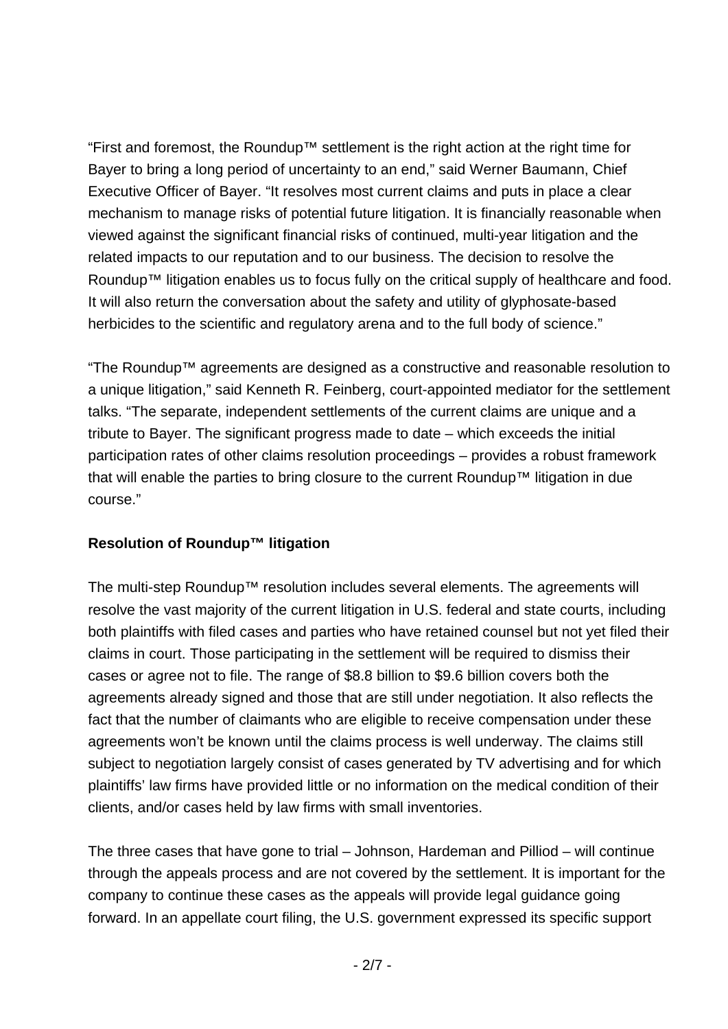"First and foremost, the Roundup™ settlement is the right action at the right time for Bayer to bring a long period of uncertainty to an end," said Werner Baumann, Chief Executive Officer of Bayer. "It resolves most current claims and puts in place a clear mechanism to manage risks of potential future litigation. It is financially reasonable when viewed against the significant financial risks of continued, multi-year litigation and the related impacts to our reputation and to our business. The decision to resolve the Roundup™ litigation enables us to focus fully on the critical supply of healthcare and food. It will also return the conversation about the safety and utility of glyphosate-based herbicides to the scientific and regulatory arena and to the full body of science."

"The Roundup™ agreements are designed as a constructive and reasonable resolution to a unique litigation," said Kenneth R. Feinberg, court-appointed mediator for the settlement talks. "The separate, independent settlements of the current claims are unique and a tribute to Bayer. The significant progress made to date – which exceeds the initial participation rates of other claims resolution proceedings – provides a robust framework that will enable the parties to bring closure to the current Roundup™ litigation in due course."

## **Resolution of Roundup™ litigation**

The multi-step Roundup™ resolution includes several elements. The agreements will resolve the vast majority of the current litigation in U.S. federal and state courts, including both plaintiffs with filed cases and parties who have retained counsel but not yet filed their claims in court. Those participating in the settlement will be required to dismiss their cases or agree not to file. The range of \$8.8 billion to \$9.6 billion covers both the agreements already signed and those that are still under negotiation. It also reflects the fact that the number of claimants who are eligible to receive compensation under these agreements won't be known until the claims process is well underway. The claims still subject to negotiation largely consist of cases generated by TV advertising and for which plaintiffs' law firms have provided little or no information on the medical condition of their clients, and/or cases held by law firms with small inventories.

The three cases that have gone to trial – Johnson, Hardeman and Pilliod – will continue through the appeals process and are not covered by the settlement. It is important for the company to continue these cases as the appeals will provide legal guidance going forward. In an appellate court filing, the U.S. government expressed its specific support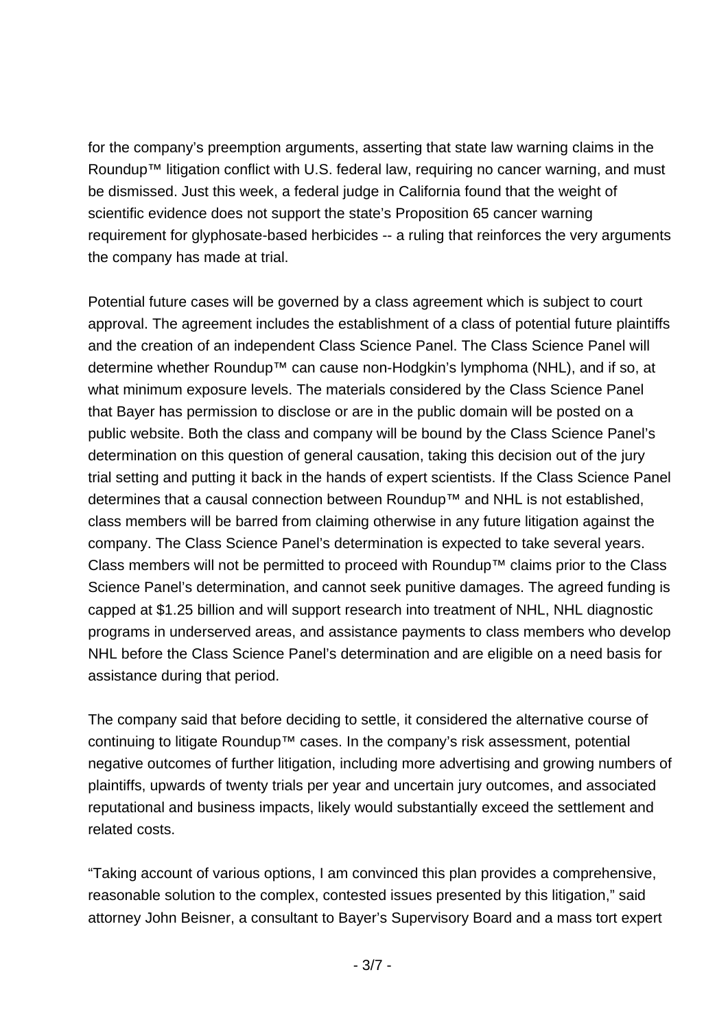for the company's preemption arguments, asserting that state law warning claims in the Roundup™ litigation conflict with U.S. federal law, requiring no cancer warning, and must be dismissed. Just this week, a federal judge in California found that the weight of scientific evidence does not support the state's Proposition 65 cancer warning requirement for glyphosate-based herbicides -- a ruling that reinforces the very arguments the company has made at trial.

Potential future cases will be governed by a class agreement which is subject to court approval. The agreement includes the establishment of a class of potential future plaintiffs and the creation of an independent Class Science Panel. The Class Science Panel will determine whether Roundup™ can cause non-Hodgkin's lymphoma (NHL), and if so, at what minimum exposure levels. The materials considered by the Class Science Panel that Bayer has permission to disclose or are in the public domain will be posted on a public website. Both the class and company will be bound by the Class Science Panel's determination on this question of general causation, taking this decision out of the jury trial setting and putting it back in the hands of expert scientists. If the Class Science Panel determines that a causal connection between Roundup™ and NHL is not established, class members will be barred from claiming otherwise in any future litigation against the company. The Class Science Panel's determination is expected to take several years. Class members will not be permitted to proceed with Roundup™ claims prior to the Class Science Panel's determination, and cannot seek punitive damages. The agreed funding is capped at \$1.25 billion and will support research into treatment of NHL, NHL diagnostic programs in underserved areas, and assistance payments to class members who develop NHL before the Class Science Panel's determination and are eligible on a need basis for assistance during that period.

The company said that before deciding to settle, it considered the alternative course of continuing to litigate Roundup™ cases. In the company's risk assessment, potential negative outcomes of further litigation, including more advertising and growing numbers of plaintiffs, upwards of twenty trials per year and uncertain jury outcomes, and associated reputational and business impacts, likely would substantially exceed the settlement and related costs.

"Taking account of various options, I am convinced this plan provides a comprehensive, reasonable solution to the complex, contested issues presented by this litigation," said attorney John Beisner, a consultant to Bayer's Supervisory Board and a mass tort expert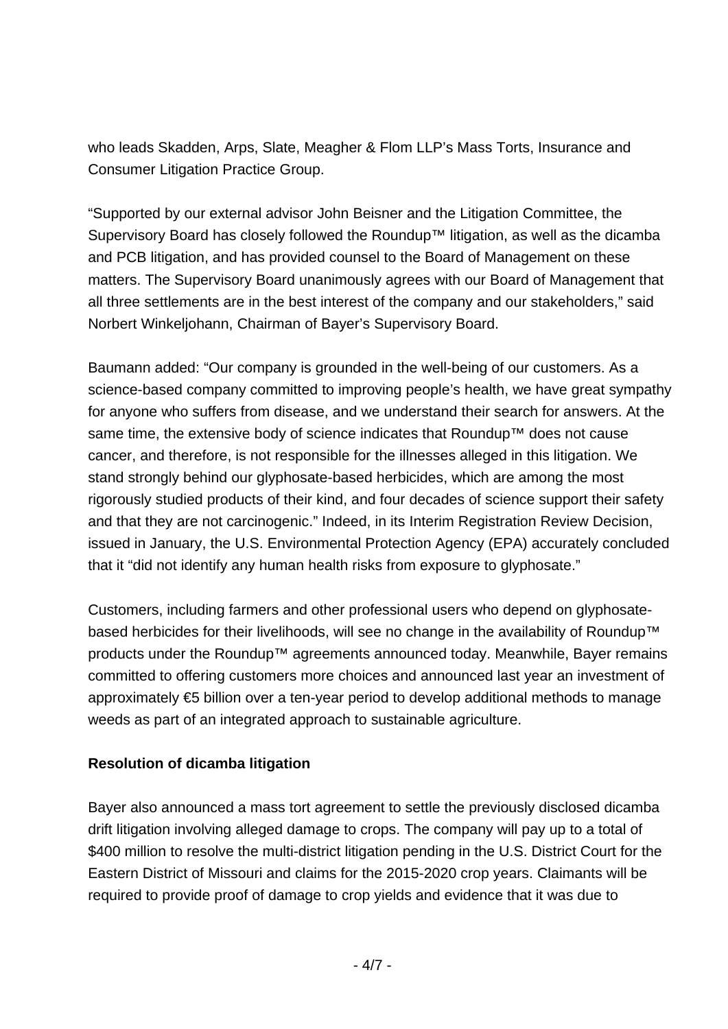who leads Skadden, Arps, Slate, Meagher & Flom LLP's Mass Torts, Insurance and Consumer Litigation Practice Group.

"Supported by our external advisor John Beisner and the Litigation Committee, the Supervisory Board has closely followed the Roundup<sup>™</sup> litigation, as well as the dicamba and PCB litigation, and has provided counsel to the Board of Management on these matters. The Supervisory Board unanimously agrees with our Board of Management that all three settlements are in the best interest of the company and our stakeholders," said Norbert Winkeljohann, Chairman of Bayer's Supervisory Board.

Baumann added: "Our company is grounded in the well-being of our customers. As a science-based company committed to improving people's health, we have great sympathy for anyone who suffers from disease, and we understand their search for answers. At the same time, the extensive body of science indicates that Roundup™ does not cause cancer, and therefore, is not responsible for the illnesses alleged in this litigation. We stand strongly behind our glyphosate-based herbicides, which are among the most rigorously studied products of their kind, and four decades of science support their safety and that they are not carcinogenic." Indeed, in its Interim Registration Review Decision, issued in January, the U.S. Environmental Protection Agency (EPA) accurately concluded that it "did not identify any human health risks from exposure to glyphosate."

Customers, including farmers and other professional users who depend on glyphosatebased herbicides for their livelihoods, will see no change in the availability of Roundup™ products under the Roundup™ agreements announced today. Meanwhile, Bayer remains committed to offering customers more choices and announced last year an investment of approximately €5 billion over a ten-year period to develop additional methods to manage weeds as part of an integrated approach to sustainable agriculture.

## **Resolution of dicamba litigation**

Bayer also announced a mass tort agreement to settle the previously disclosed dicamba drift litigation involving alleged damage to crops. The company will pay up to a total of \$400 million to resolve the multi-district litigation pending in the U.S. District Court for the Eastern District of Missouri and claims for the 2015-2020 crop years. Claimants will be required to provide proof of damage to crop yields and evidence that it was due to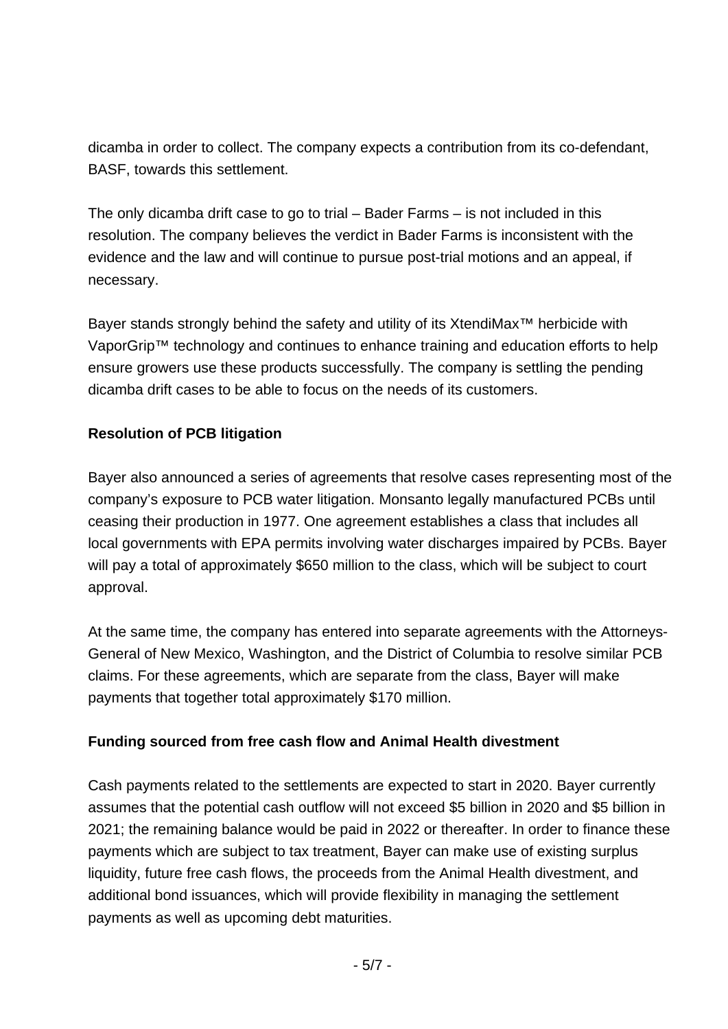dicamba in order to collect. The company expects a contribution from its co-defendant, BASF, towards this settlement.

The only dicamba drift case to go to trial – Bader Farms – is not included in this resolution. The company believes the verdict in Bader Farms is inconsistent with the evidence and the law and will continue to pursue post-trial motions and an appeal, if necessary.

Bayer stands strongly behind the safety and utility of its XtendiMax™ herbicide with VaporGrip™ technology and continues to enhance training and education efforts to help ensure growers use these products successfully. The company is settling the pending dicamba drift cases to be able to focus on the needs of its customers.

## **Resolution of PCB litigation**

Bayer also announced a series of agreements that resolve cases representing most of the company's exposure to PCB water litigation. Monsanto legally manufactured PCBs until ceasing their production in 1977. One agreement establishes a class that includes all local governments with EPA permits involving water discharges impaired by PCBs. Bayer will pay a total of approximately \$650 million to the class, which will be subject to court approval.

At the same time, the company has entered into separate agreements with the Attorneys-General of New Mexico, Washington, and the District of Columbia to resolve similar PCB claims. For these agreements, which are separate from the class, Bayer will make payments that together total approximately \$170 million.

## **Funding sourced from free cash flow and Animal Health divestment**

Cash payments related to the settlements are expected to start in 2020. Bayer currently assumes that the potential cash outflow will not exceed \$5 billion in 2020 and \$5 billion in 2021; the remaining balance would be paid in 2022 or thereafter. In order to finance these payments which are subject to tax treatment, Bayer can make use of existing surplus liquidity, future free cash flows, the proceeds from the Animal Health divestment, and additional bond issuances, which will provide flexibility in managing the settlement payments as well as upcoming debt maturities.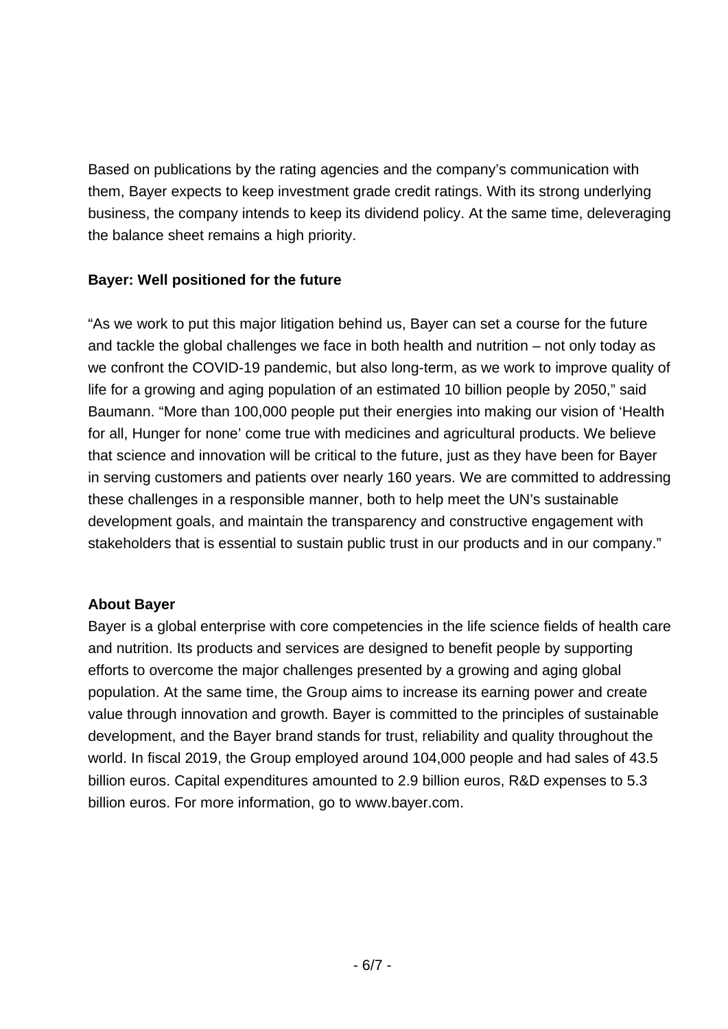Based on publications by the rating agencies and the company's communication with them, Bayer expects to keep investment grade credit ratings. With its strong underlying business, the company intends to keep its dividend policy. At the same time, deleveraging the balance sheet remains a high priority.

## **Bayer: Well positioned for the future**

"As we work to put this major litigation behind us, Bayer can set a course for the future and tackle the global challenges we face in both health and nutrition – not only today as we confront the COVID-19 pandemic, but also long-term, as we work to improve quality of life for a growing and aging population of an estimated 10 billion people by 2050," said Baumann. "More than 100,000 people put their energies into making our vision of 'Health for all, Hunger for none' come true with medicines and agricultural products. We believe that science and innovation will be critical to the future, just as they have been for Bayer in serving customers and patients over nearly 160 years. We are committed to addressing these challenges in a responsible manner, both to help meet the UN's sustainable development goals, and maintain the transparency and constructive engagement with stakeholders that is essential to sustain public trust in our products and in our company."

### **About Bayer**

Bayer is a global enterprise with core competencies in the life science fields of health care and nutrition. Its products and services are designed to benefit people by supporting efforts to overcome the major challenges presented by a growing and aging global population. At the same time, the Group aims to increase its earning power and create value through innovation and growth. Bayer is committed to the principles of sustainable development, and the Bayer brand stands for trust, reliability and quality throughout the world. In fiscal 2019, the Group employed around 104,000 people and had sales of 43.5 billion euros. Capital expenditures amounted to 2.9 billion euros, R&D expenses to 5.3 billion euros. For more information, go to www.bayer.com.